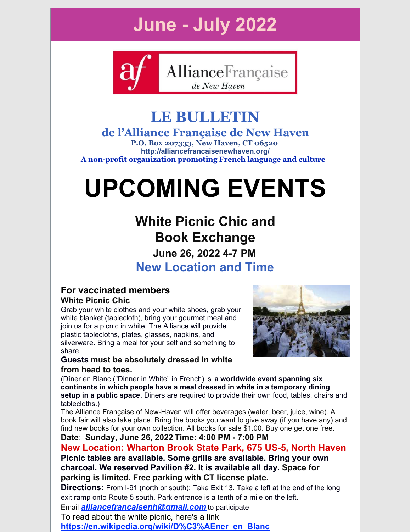# **June - July 2022**



# **LE BULLETIN**

### **de l'Alliance Française de New Haven**

**P.O. Box 207333, New Haven, CT 06520 http://alliancefrancaisenewhaven.org/ A non-profit organization promoting French language and culture**

# **UPCOMING EVENTS**

# **White Picnic Chic and Book Exchange June 26, 2022 4-7 PM New Location and Time**

#### **For vaccinated members White Picnic Chic**

Grab your white clothes and your white shoes, grab your white blanket (tablecloth), bring your gourmet meal and join us for a picnic in white. The Alliance will provide plastic tablecloths, plates, glasses, napkins, and silverware. Bring a meal for your self and something to share.



#### **Guests must be absolutely dressed in white from head to toes.**

(Dîner en Blanc ("Dinner in White" in French) is **a worldwide event spanning six continents in which people have a meal dressed in white in a temporary dining setup in a public space**. Diners are required to provide their own food, tables, chairs and tablecloths.)

The Alliance Française of New-Haven will offer beverages (water, beer, juice, wine). A book fair will also take place. Bring the books you want to give away (if you have any) and find new books for your own collection. All books for sale \$1.00. Buy one get one free.

#### **Date**: **Sunday, June 26, 2022 Time: 4:00 PM - 7:00 PM**

**New Location: Wharton Brook State Park, 675 US-5, North Haven Picnic tables are available. Some grills are available. Bring your own charcoal. We reserved Pavilion #2. It is available all day. Space for parking is limited. Free parking with CT license plate.**

**Directions:** From I-91 (north or south): Take Exit 13. Take a left at the end of the long exit ramp onto Route 5 south. Park entrance is a tenth of a mile on the left. Email *[alliancefrancaisenh@gmail.com](mailto:alliancefrancaisenh@gmail.com)* to participate

To read about the white picnic, here's a link

**[https://en.wikipedia.org/wiki/D%C3%AEner\\_en\\_Blanc](https://en.wikipedia.org/wiki/D%C3%AEner_en_Blanc)**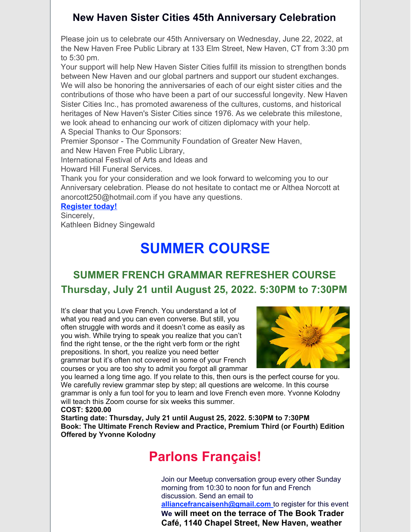#### **New Haven Sister Cities 45th Anniversary Celebration**

Please join us to celebrate our 45th Anniversary on Wednesday, June 22, 2022, at the New Haven Free Public Library at 133 Elm Street, New Haven, CT from 3:30 pm to 5:30 pm.

Your support will help New Haven Sister Cities fulfill its mission to strengthen bonds between New Haven and our global partners and support our student exchanges. We will also be honoring the anniversaries of each of our eight sister cities and the contributions of those who have been a part of our successful longevity. New Haven Sister Cities Inc., has promoted awareness of the cultures, customs, and historical heritages of New Haven's Sister Cities since 1976. As we celebrate this milestone, we look ahead to enhancing our work of citizen diplomacy with your help. A Special Thanks to Our Sponsors:

Premier Sponsor - The Community Foundation of Greater New Haven, and New Haven Free Public Library,

International Festival of Arts and Ideas and

Howard Hill Funeral Services.

Thank you for your consideration and we look forward to welcoming you to our Anniversary celebration. Please do not hesitate to contact me or Althea Norcott at anorcott250@hotmail.com if you have any questions.

#### **[Register](https://www.eventbrite.com/e/new-haven-sister-cities-45th-anniversary-celebration-tickets-335440299967) today!**

Sincerely, Kathleen Bidney Singewald

# **SUMMER COURSE**

## **SUMMER FRENCH GRAMMAR REFRESHER COURSE Thursday, July 21 until August 25, 2022. 5:30PM to 7:30PM**

It's clear that you Love French. You understand a lot of what you read and you can even converse. But still, you often struggle with words and it doesn't come as easily as you wish. While trying to speak you realize that you can't find the right tense, or the the right verb form or the right prepositions. In short, you realize you need better grammar but it's often not covered in some of your French courses or you are too shy to admit you forgot all grammar



you learned a long time ago. If you relate to this, then ours is the perfect course for you. We carefully review grammar step by step; all questions are welcome. In this course grammar is only a fun tool for you to learn and love French even more. Yvonne Kolodny will teach this Zoom course for six weeks this summer. **COST: \$200.00**

**Starting date: Thursday, July 21 until August 25, 2022. 5:30PM to 7:30PM Book: The Ultimate French Review and Practice, Premium Third (or Fourth) Edition Offered by Yvonne Kolodny**

# **Parlons Français!**

Join our Meetup conversation group every other Sunday morning from 10:30 to noon for fun and French discussion. Send an email to

**[alliancefrancaisenh@gmail.com](mailto:alliancefrancaisenh@gmail.com)** to register for this event **We will meet on the terrace of The Book Trader Café, 1140 Chapel Street, New Haven, weather**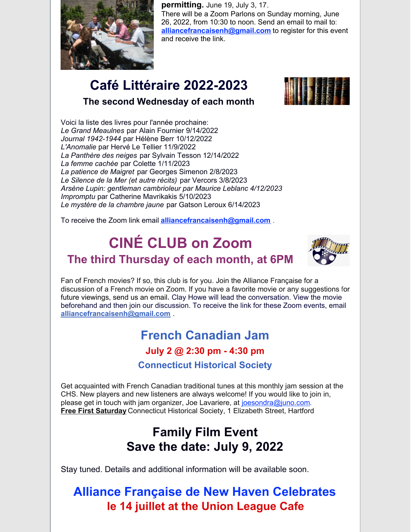

**permitting.** June 19, July 3, 17. There will be a Zoom Parlons on Sunday morning, June 26, 2022, from 10:30 to noon. Send an email to mail to: [alliancefrancaisenh@gmail.com](mailto:alliancefrancaisenh@gmail.com) to register for this event and receive the link.

# **Café Littéraire 2022-2023**



#### **The second Wednesday of each month**

Voici la liste des livres pour l'année prochaine: *Le Grand Meaulnes* par Alain Fournier 9/14/2022 *Journal 1942-1944* par Hélène Berr 10/12/2022 *L'Anomalie* par Hervé Le Tellier 11/9/2022 *La Panthère des neiges* par Sylvain Tesson 12/14/2022 *La femme cachée* par Colette 1/11/2023 *La patience de Maigret* par Georges Simenon 2/8/2023 *Le Silence de la Mer (et autre récits)* par Vercors 3/8/2023 *Arsène Lupin: gentleman cambrioleur par Maurice Leblanc 4/12/2023 Impromptu* par Catherine Mavrikakis 5/10/2023 *Le mystère de la chambre jaune* par Gatson Leroux 6/14/2023

To receive the Zoom link email **[alliancefrancaisenh@gmail.com](mailto:alliancefrancaisenh@gmail.com)** [.](mailto:alliancefrancaisenh@gmail.com)

# **CINÉ CLUB on Zoom The third Thursday of each month, at 6PM**



Fan of French movies? If so, this club is for you. Join the Alliance Française for a discussion of a French movie on Zoom. If you have a favorite movie or any suggestions for future viewings, send us an email**.** Clay Howe will lead the conversation. View the movie beforehand and then join our discussion. To receive the link for these Zoom events, email **[alliancefrancaisenh@gmail.com](mailto:alliancefrancaisenh@gmail.com)** [.](mailto:alliancefrancaisenh@gmail.com)

# **French Canadian Jam July 2 @ 2:30 pm - 4:30 pm**

**Connecticut Historical Society**

Get acquainted with French Canadian traditional tunes at this monthly jam session at the CHS. New players and new listeners are always welcome! If you would like to join in, please get in touch with jam organizer, Joe Lavariere, at [joesondra@juno.com](http://joesondra@juno.com). **Free First [Saturday](https://chs.org/event/free-first-saturday-38-2022-07-02/)** Connecticut Historical Society, 1 Elizabeth Street, Hartford

# **Family Film Event Save the date: July 9, 2022**

Stay tuned. Details and additional information will be available soon.

# **Alliance Française de New Haven Celebrates le 14 juillet at the Union League Cafe**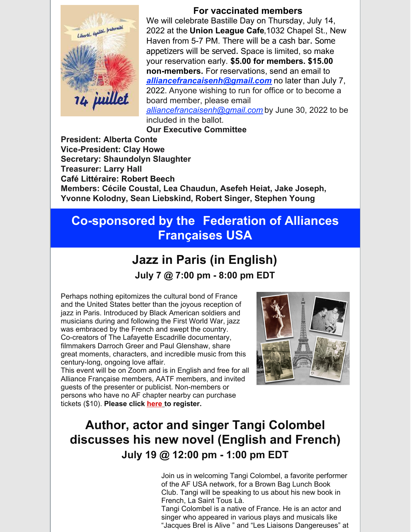

#### **For vaccinated members**

We will celebrate Bastille Day on Thursday, July 14, 2022 at the **Union League Cafe**,1032 Chapel St., New Haven from 5-7 PM. There will be a cash bar. Some appetizers will be served. Space is limited, so make your reservation early. **\$5.00 for members. \$15.00 non-members.** For reservations, send an email to *[alliancefrancaisenh@gmail.com](mailto:alliancefrancaisenh@gmail.com)* no later than July 7, 2022. Anyone wishing to run for office or to become a board member, please email *[alliancefrancaisenh@gmail.com](mailto:alliancefrancaisenh@gmail.com)* by June 30, 2022 to be included in the ballot.

**Our Executive Committee**

**President: Alberta Conte Vice-President: Clay Howe Secretary: Shaundolyn Slaughter Treasurer: Larry Hall Café Littéraire: Robert Beech Members: Cécile Coustal, Lea Chaudun, Asefeh Heiat, Jake Joseph, Yvonne Kolodny, Sean Liebskind, Robert Singer, Stephen Young**

# **Co-sponsored by the Federation of Alliances Françaises USA**

# **Jazz in Paris (in English)**

**July 7 @ 7:00 pm - 8:00 pm EDT**

Perhaps nothing epitomizes the cultural bond of France and the United States better than the joyous reception of jazz in Paris. Introduced by Black American soldiers and musicians during and following the First World War, jazz was embraced by the French and swept the country. Co-creators of The Lafayette Escadrille documentary, filmmakers Darroch Greer and Paul Glenshaw, share great moments, characters, and incredible music from this century-long, ongoing love affair.

This event will be on Zoom and is in English and free for all Alliance Française members, AATF members, and invited guests of the presenter or publicist. Non-members or persons who have no AF chapt[er](https://events.r20.constantcontact.com/register/eventReg?oeidk=a07ej3698ewd6d4e187&oseq=&c=&ch=) nearby can purchase tickets (\$10). **Please click [here](https://events.r20.constantcontact.com/register/eventReg?oeidk=a07ej6wpnyje9a49518&oseq=&c=&ch=) to register.**



# **Author, actor and singer Tangi Colombel discusses his new novel (English and French) July 19 @ 12:00 pm - 1:00 pm EDT**

Join us in welcoming Tangi Colombel, a favorite performer of the AF USA network, for a Brown Bag Lunch Book Club. Tangi will be speaking to us about his new book in French, La Saint Tous Là.

Tangi Colombel is a native of France. He is an actor and singer who appeared in various plays and musicals like "Jacques Brel is Alive " and "Les Liaisons Dangereuses" at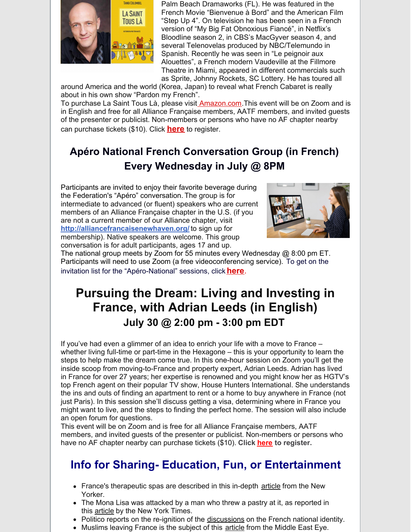

Palm Beach Dramaworks (FL). He was featured in the French Movie "Bienvenue à Bord" and the American Film "Step Up 4". On television he has been seen in a French version of "My Big Fat Obnoxious Fiancé", in Netflix's Bloodline season 2, in CBS's MacGyver season 4, and several Telenovelas produced by NBC/Telemundo in Spanish. Recently he was seen in "Le peignoir aux Alouettes", a French modern Vaudeville at the Fillmore Theatre in Miami, appeared in different commercials such as Sprite, Johnny Rockets, SC Lottery. He has toured all

around America and the world (Korea, Japan) to reveal what French Cabaret is really about in his own show "Pardon my French".

To purchase La Saint Tous Là, please visit [Amazon.com](http://amazon.com). This event will be on Zoom and is in English and free for all Alliance Française members, AATF members, and invited guests of the presenter or publicist. Non-members or persons who have no AF chapter nearby can purchase tickets (\$10). Click **[here](https://events.r20.constantcontact.com/register/eventReg?oeidk=a07ej5qw6u9000a7df0&oseq=&c=&ch=)** to register.

## **Apéro National French Conversation Group (in French) Every Wednesday in July @ 8PM**

Participants are invited to enjoy their favorite beverage during the Federation's "Apéro" conversation. The group is for intermediate to advanced (or fluent) speakers who are current members of an Alliance Française chapter in the U.S. (if you are not a current member of our Alliance chapter, visit **[http://alliancefrancaisenewhaven.org/](https://r20.rs6.net/tn.jsp?f=001wtWRsy_37jx1SDzdMDxx6QxeppOU8vR6lRnm9UPIHxNFaejE7jNhZhRWhZT1rX1kifF3pYSusyS-976ViT5SvS9LJ8z5W0-3_rIKXObKy0vrBcP8uWfXIP3b7WYdBK-U3apGdMTbR4vXXV36MxyLZaWZ1LfheBjQ&c=mzPFlqgSKVwkoZ-6YvGLjnkp7wF1JM8U-ipP-ckgQvnBuecErmdCYQ==&ch=_fg1GwcETWG3FRdJoKEQfVq5pTshqFZRuY0I4u-C4CbVqP_n60PLkg==)** to sign up for membership). Native speakers are welcome. This group conversation is for adult participants, ages 17 and up.



The national group meets by Zoom for 55 minutes every Wednesday @ 8:00 pm ET. Participants will need to use Zoom (a free videoconferencing service). To get on the invitation list for the "Apéro-National" sessions, click **[here](https://events.r20.constantcontact.com/register/eventReg?oeidk=a07eiz7r14qd858a30a&oseq=&c=&ch=)**.

# **Pursuing the Dream: Living and Investing in France, with Adrian Leeds (in English) July 30 @ 2:00 pm - 3:00 pm EDT**

If you've had even a glimmer of an idea to enrich your life with a move to France – whether living full-time or part-time in the Hexagone – this is your opportunity to learn the steps to help make the dream come true. In this one-hour session on Zoom you'll get the inside scoop from moving-to-France and property expert, Adrian Leeds. Adrian has lived in France for over 27 years; her expertise is renowned and you might know her as HGTV's top French agent on their popular TV show, House Hunters International. She understands the ins and outs of finding an apartment to rent or a home to buy anywhere in France (not just Paris). In this session she'll discuss getting a visa, determining where in France you might want to live, and the steps to finding the perfect home. The session will also include an open forum for questions.

This event will be on Zoom and is free for all Alliance Française members, AATF members, and invited guests of the presenter or publicist. Non-members or persons who have no AF chapter nearby can purchase tickets (\$10). **Click [here](http://events.constantcontact.com/register/event?llr=4tqgfgnab&oeidk=a07ej6yvpsg0ded420a) to register.**

## **Info for Sharing- Education, Fun, or Entertainment**

- France's therapeutic spas are described in this in-depth [article](https://afusa.us13.list-manage.com/track/click?u=9abb358f0ef84998155c7b606&id=71ccce0e90&e=579a2502eb) from the New Yorker.
- The Mona Lisa was attacked by a man who threw a pastry at it, as reported in this **[article](https://afusa.us13.list-manage.com/track/click?u=9abb358f0ef84998155c7b606&id=5cdcf6ff4d&e=579a2502eb)** by the New York Times.
- Politico reports on the re-ignition of the [discussions](https://afusa.us13.list-manage.com/track/click?u=9abb358f0ef84998155c7b606&id=8e63e2465c&e=579a2502eb) on the French national identity.
- Muslims leaving France is the subject of this **[article](https://afusa.us13.list-manage.com/track/click?u=9abb358f0ef84998155c7b606&id=2eb27739b9&e=579a2502eb)** from the Middle East Eye.